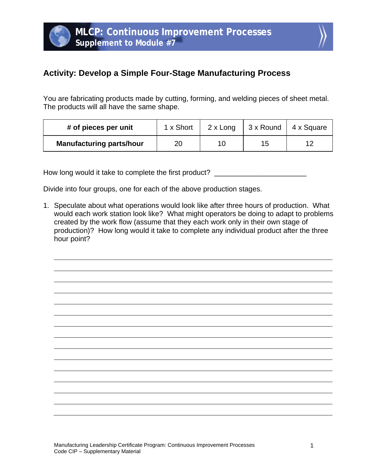

## **Activity: Develop a Simple Four-Stage Manufacturing Process**

You are fabricating products made by cutting, forming, and welding pieces of sheet metal. The products will all have the same shape.

| # of pieces per unit            | 1 x Short | 2 x Long | $\vert$ 3 x Round | 4 x Square |
|---------------------------------|-----------|----------|-------------------|------------|
| <b>Manufacturing parts/hour</b> | 20        | 10       | 15                |            |

How long would it take to complete the first product?

Divide into four groups, one for each of the above production stages.

1. Speculate about what operations would look like after three hours of production. What would each work station look like? What might operators be doing to adapt to problems created by the work flow (assume that they each work only in their own stage of production)? How long would it take to complete any individual product after the three hour point?

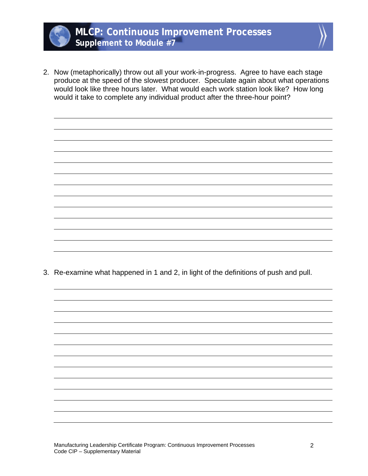



2. Now (metaphorically) throw out all your work-in-progress. Agree to have each stage produce at the speed of the slowest producer. Speculate again about what operations would look like three hours later. What would each work station look like? How long would it take to complete any individual product after the three-hour point?

3. Re-examine what happened in 1 and 2, in light of the definitions of push and pull.